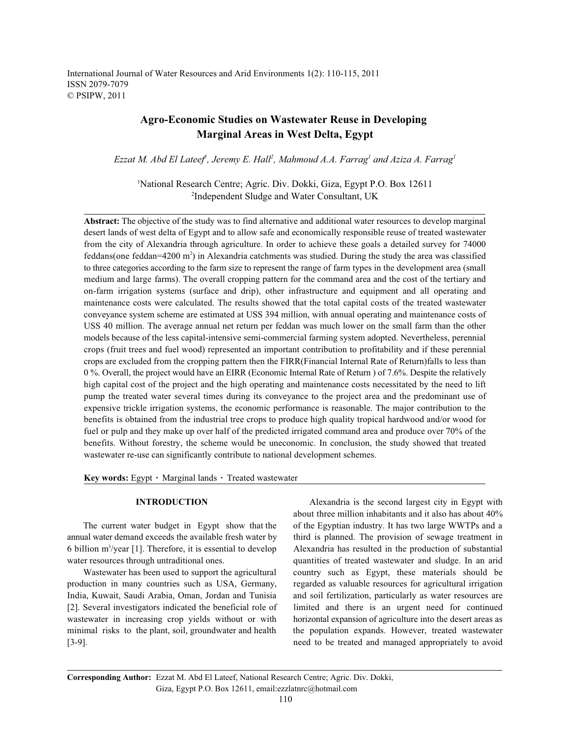International Journal of Water Resources and Arid Environments 1(2): 110-115, 2011 ISSN 2079-7079 © PSIPW, 2011

# **Agro-Economic Studies on Wastewater Reuse in Developing Marginal Areas in West Delta, Egypt**

*Ezzat M. Abd El Lateef, Jeremy E. Hall<sup>2</sup>, Mahmoud A.A. Farrag<sup>1</sup> and Aziza A. Farrag<sup>1</sup>* 

<sup>1</sup>National Research Centre; Agric. Div. Dokki, Giza, Egypt P.O. Box 12611 <sup>2</sup>Independent Sludge and Water Consultant, UK

**Abstract:** The objective of the study was to find alternative and additional water resources to develop marginal desert lands of west delta of Egypt and to allow safe and economically responsible reuse of treated wastewater from the city of Alexandria through agriculture. In order to achieve these goals a detailed survey for 74000 feddans(one feddan=4200 m<sup>2</sup>) in Alexandria catchments was studied. During the study the area was classified to three categories according to the farm size to represent the range of farm types in the development area (small medium and large farms). The overall cropping pattern for the command area and the cost of the tertiary and on-farm irrigation systems (surface and drip), other infrastructure and equipment and all operating and maintenance costs were calculated. The results showed that the total capital costs of the treated wastewater conveyance system scheme are estimated at USS 394 million, with annual operating and maintenance costs of USS 40 million. The average annual net return per feddan was much lower on the small farm than the other models because of the less capital-intensive semi-commercial farming system adopted. Nevertheless, perennial crops (fruit trees and fuel wood) represented an important contribution to profitability and if these perennial crops are excluded from the cropping pattern then the FIRR(Financial Internal Rate of Return)falls to less than 0 %. Overall, the project would have an EIRR (Economic Internal Rate of Return ) of 7.6%. Despite the relatively high capital cost of the project and the high operating and maintenance costs necessitated by the need to lift pump the treated water several times during its conveyance to the project area and the predominant use of expensive trickle irrigation systems, the economic performance is reasonable. The major contribution to the benefits is obtained from the industrial tree crops to produce high quality tropical hardwood and/or wood for fuel or pulp and they make up over half of the predicted irrigated command area and produce over 70% of the benefits. Without forestry, the scheme would be uneconomic. In conclusion, the study showed that treated wastewater re-use can significantly contribute to national development schemes.

**Key words:** Egypt  $\cdot$  Marginal lands  $\cdot$  Treated wastewater

annual water demand exceeds the available fresh water by third is planned. The provision of sewage treatment in 6 billion m<sup>3</sup>/year [1]. Therefore, it is essential to develop Alexandria has resulted in the production of substantial water resources through untraditional ones. quantities of treated wastewater and sludge. In an arid

production in many countries such as USA, Germany, regarded as valuable resources for agricultural irrigation India, Kuwait, Saudi Arabia, Oman, Jordan and Tunisia and soil fertilization, particularly as water resources are [2]. Several investigators indicated the beneficial role of limited and there is an urgent need for continued wastewater in increasing crop yields without or with horizontal expansion of agriculture into the desert areas as minimal risks to the plant, soil, groundwater and health the population expands. However, treated wastewater [3-9]. need to be treated and managed appropriately to avoid

**INTRODUCTION** Alexandria is the second largest city in Egypt with The current water budget in Egypt show that the of the Egyptian industry. It has two large WWTPs and a Wastewater has been used to support the agricultural country such as Egypt, these materials should be about three million inhabitants and it also has about 40%

**Corresponding Author:** Ezzat M. Abd El Lateef, National Research Centre; Agric. Div. Dokki, Giza, Egypt P.O. Box 12611, email:ezzlatnrc@hotmail.com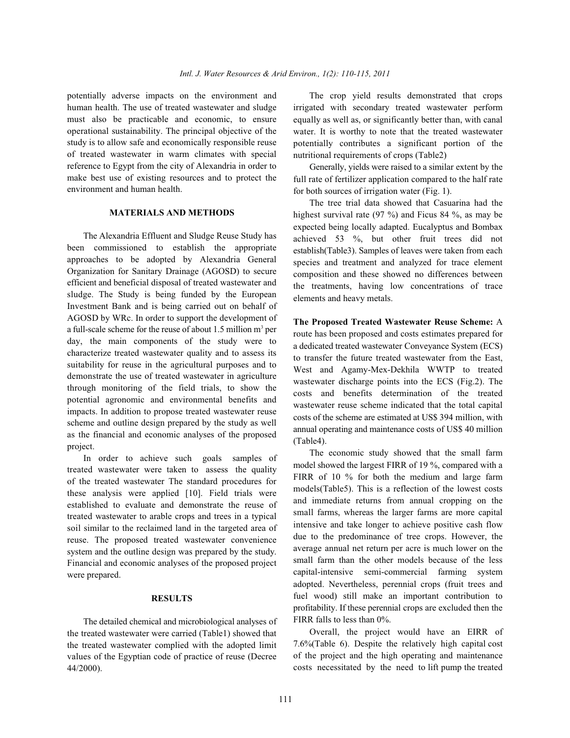potentially adverse impacts on the environment and The crop yield results demonstrated that crops human health. The use of treated wastewater and sludge must also be practicable and economic, to ensure operational sustainability. The principal objective of the study is to allow safe and economically responsible reuse of treated wastewater in warm climates with special reference to Egypt from the city of Alexandria in order to make best use of existing resources and to protect the environment and human health.

# **MATERIALS AND METHODS**

The Alexandria Effluent and Sludge Reuse Study has been commissioned to establish the appropriate approaches to be adopted by Alexandria General Organization for Sanitary Drainage (AGOSD) to secure efficient and beneficial disposal of treated wastewater and sludge. The Study is being funded by the European Investment Bank and is being carried out on behalf of AGOSD by WRc. In order to support the development of a full-scale scheme for the reuse of about 1.5 million  $m<sup>3</sup>$  per day, the main components of the study were to characterize treated wastewater quality and to assess its suitability for reuse in the agricultural purposes and to demonstrate the use of treated wastewater in agriculture through monitoring of the field trials, to show the potential agronomic and environmental benefits and impacts. In addition to propose treated wastewater reuse scheme and outline design prepared by the study as well as the financial and economic analyses of the proposed project.

In order to achieve such goals samples of treated wastewater were taken to assess the quality of the treated wastewater The standard procedures for these analysis were applied [10]. Field trials were established to evaluate and demonstrate the reuse of treated wastewater to arable crops and trees in a typical soil similar to the reclaimed land in the targeted area of reuse. The proposed treated wastewater convenience system and the outline design was prepared by the study. Financial and economic analyses of the proposed project were prepared.

## **RESULTS**

The detailed chemical and microbiological analyses of the treated wastewater were carried (Table1) showed that the treated wastewater complied with the adopted limit values of the Egyptian code of practice of reuse (Decree 44/2000).

irrigated with secondary treated wastewater perform equally as well as, or significantly better than, with canal water. It is worthy to note that the treated wastewater potentially contributes a significant portion of the nutritional requirements of crops (Table2)

Generally, yields were raised to a similar extent by the full rate of fertilizer application compared to the half rate for both sources of irrigation water (Fig. 1).

The tree trial data showed that Casuarina had the highest survival rate (97 %) and Ficus 84 %, as may be expected being locally adapted. Eucalyptus and Bombax achieved 53 %, but other fruit trees did not establish(Table3). Samples of leaves were taken from each species and treatment and analyzed for trace element composition and these showed no differences between the treatments, having low concentrations of trace elements and heavy metals.

**The Proposed Treated Wastewater Reuse Scheme:** A route has been proposed and costs estimates prepared for a dedicated treated wastewater Conveyance System (ECS) to transfer the future treated wastewater from the East, West and Agamy-Mex-Dekhila WWTP to treated wastewater discharge points into the ECS (Fig.2). The costs and benefits determination of the treated wastewater reuse scheme indicated that the total capital costs of the scheme are estimated at US\$ 394 million, with annual operating and maintenance costs of US\$ 40 million (Table4).

The economic study showed that the small farm model showed the largest FIRR of 19 %, compared with a FIRR of 10 % for both the medium and large farm models(Table5). This is a reflection of the lowest costs and immediate returns from annual cropping on the small farms, whereas the larger farms are more capital intensive and take longer to achieve positive cash flow due to the predominance of tree crops. However, the average annual net return per acre is much lower on the small farm than the other models because of the less capital-intensive semi-commercial farming system adopted. Nevertheless, perennial crops (fruit trees and fuel wood) still make an important contribution to profitability. If these perennial crops are excluded then the FIRR falls to less than 0%.

Overall, the project would have an EIRR of 7.6%(Table 6). Despite the relatively high capital cost of the project and the high operating and maintenance costs necessitated by the need to lift pump the treated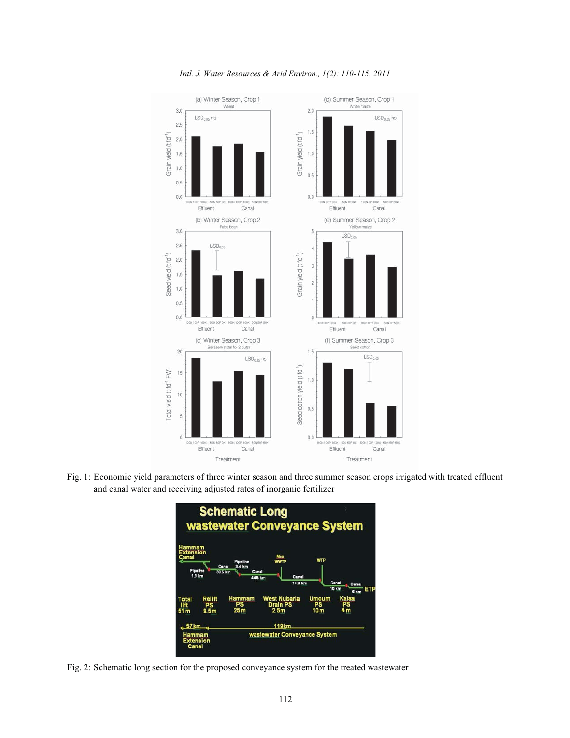

*Intl. J. Water Resources & Arid Environ., 1(2): 110-115, 2011*

Fig. 1: Economic yield parameters of three winter season and three summer season crops irrigated with treated effluent and canal water and receiving adjusted rates of inorganic fertilizer



Fig. 2: Schematic long section for the proposed conveyance system for the treated wastewater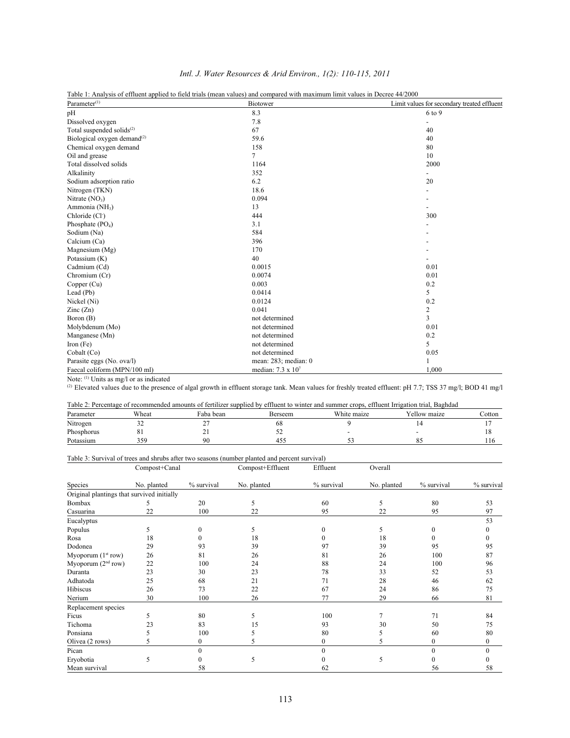|                                                    | Table 1: Analysis of effluent applied to field trials (mean values) and compared with maximum limit values in Decree 44/2000 |                                             |
|----------------------------------------------------|------------------------------------------------------------------------------------------------------------------------------|---------------------------------------------|
| Parameter <sup>(1)</sup>                           | <b>Biotower</b>                                                                                                              | Limit values for secondary treated effluent |
| pH                                                 | 8.3                                                                                                                          | 6 to 9                                      |
| Dissolved oxygen                                   | 7.8                                                                                                                          | $\overline{\phantom{a}}$                    |
| Total suspended solids <sup>(2)</sup>              | 67                                                                                                                           | 40                                          |
| Biological oxygen demand <sup>(2)</sup>            | 59.6                                                                                                                         | 40                                          |
| Chemical oxygen demand                             | 158                                                                                                                          | 80                                          |
| Oil and grease                                     | 7                                                                                                                            | 10                                          |
| Total dissolved solids                             | 1164                                                                                                                         | 2000                                        |
| Alkalinity                                         | 352                                                                                                                          |                                             |
| Sodium adsorption ratio                            | 6.2                                                                                                                          | 20                                          |
| Nitrogen (TKN)                                     | 18.6                                                                                                                         |                                             |
| Nitrate $(NO3)$                                    | 0.094                                                                                                                        |                                             |
| Ammonia (NH <sub>3</sub> )                         | 13                                                                                                                           |                                             |
| Chloride (Cl <sup>-</sup> )                        | 444                                                                                                                          | 300                                         |
| Phosphate $(PO4)$                                  | 3.1                                                                                                                          |                                             |
| Sodium (Na)                                        | 584                                                                                                                          |                                             |
| Calcium (Ca)                                       | 396                                                                                                                          |                                             |
| Magnesium (Mg)                                     | 170                                                                                                                          |                                             |
| Potassium (K)                                      | 40                                                                                                                           |                                             |
| Cadmium (Cd)                                       | 0.0015                                                                                                                       | 0.01                                        |
| Chromium (Cr)                                      | 0.0074                                                                                                                       | 0.01                                        |
| Copper (Cu)                                        | 0.003                                                                                                                        | 0.2                                         |
| Lead (Pb)                                          | 0.0414                                                                                                                       | 5                                           |
| Nickel (Ni)                                        | 0.0124                                                                                                                       | 0.2                                         |
| $\text{Zinc}(\text{Zn})$                           | 0.041                                                                                                                        | $\overline{c}$                              |
| Boron (B)                                          | not determined                                                                                                               | 3                                           |
| Molybdenum (Mo)                                    | not determined                                                                                                               | 0.01                                        |
| Manganese (Mn)                                     | not determined                                                                                                               | 0.2                                         |
| Iron $(Fe)$                                        | not determined                                                                                                               | 5                                           |
| Cobalt (Co)                                        | not determined                                                                                                               | 0.05                                        |
| Parasite eggs (No. ova/l)                          | mean: 283; median: 0                                                                                                         |                                             |
| Faecal coliform (MPN/100 ml)                       | median: 7.3 x 107                                                                                                            | 1,000                                       |
| Motor <sup>(1)</sup> Unite as mall or as indicated |                                                                                                                              |                                             |

### *Intl. J. Water Resources & Arid Environ., 1(2): 110-115, 2011*

Table 1: Analysis of effluent applied to field trials (mean values) and compared with maximum limit values in Decree 44/2000

Note:  $(1)$  Units as mg/l or as indicated

<sup>(2)</sup> Elevated values due to the presence of algal growth in effluent storage tank. Mean values for freshly treated effluent: pH 7.7; TSS 37 mg/l; BOD 41 mg/l

| Table 2: Percentage of recommended amounts of fertilizer supplied by effluent to winter and summer crops, effluent Irrigation trial, Baghdad |       |           |         |             |              |        |
|----------------------------------------------------------------------------------------------------------------------------------------------|-------|-----------|---------|-------------|--------------|--------|
| Parameter                                                                                                                                    | Wheat | Faba bean | Berseem | White maize | Yellow maize | Cotton |
| Nitrogen                                                                                                                                     | ے ر   |           | oδ      |             |              |        |
| Phosphorus                                                                                                                                   |       |           |         |             |              |        |
| Potassium                                                                                                                                    | 359   |           |         |             |              |        |

# Table 3: Survival of trees and shrubs after two seasons (number planted and percent survival)

|                                            | Compost+Canal |                | Compost+Effluent | Effluent     | Overall     |            |            |
|--------------------------------------------|---------------|----------------|------------------|--------------|-------------|------------|------------|
| Species                                    | No. planted   | % survival     | No. planted      | % survival   | No. planted | % survival | % survival |
| Original plantings that survived initially |               |                |                  |              |             |            |            |
| Bombax                                     | 5             | 20             | 5                | 60           | 5           | 80         | 53         |
| Casuarina                                  | 22            | 100            | 22               | 95           | 22          | 95         | 97         |
| Eucalyptus                                 |               |                |                  |              |             |            | 53         |
| Populus                                    | 5             | $\Omega$       | 5                | 0            | 5           | $\Omega$   |            |
| Rosa                                       | 18            |                | 18               | 0            | 18          | 0          | 0          |
| Dodonea                                    | 29            | 93             | 39               | 97           | 39          | 95         | 95         |
| Myoporum $(1st row)$                       | 26            | 81             | 26               | 81           | 26          | 100        | 87         |
| Myoporum $(2nd row)$                       | 22            | 100            | 24               | 88           | 24          | 100        | 96         |
| Duranta                                    | 23            | 30             | 23               | 78           | 33          | 52         | 53         |
| Adhatoda                                   | 25            | 68             | 21               | 71           | 28          | 46         | 62         |
| Hibiscus                                   | 26            | 73             | 22               | 67           | 24          | 86         | 75         |
| Nerium                                     | 30            | 100            | 26               | 77           | 29          | 66         | 81         |
| Replacement species                        |               |                |                  |              |             |            |            |
| Ficus                                      | 5             | 80             | 5                | 100          | 7           | 71         | 84         |
| Tichoma                                    | 23            | 83             | 15               | 93           | 30          | 50         | 75         |
| Ponsiana                                   | 5             | 100            | 5                | 80           |             | 60         | 80         |
| Olivea (2 rows)                            | 5             | $\overline{0}$ | 5                | $\mathbf{0}$ | 5.          | 0          | 0          |
| Pican                                      |               |                |                  | $\Omega$     |             | $\Omega$   | $\theta$   |
| Eryobotia                                  | 5             |                | 5                |              | 5           |            |            |
| Mean survival                              |               | 58             |                  | 62           |             | 56         | 58         |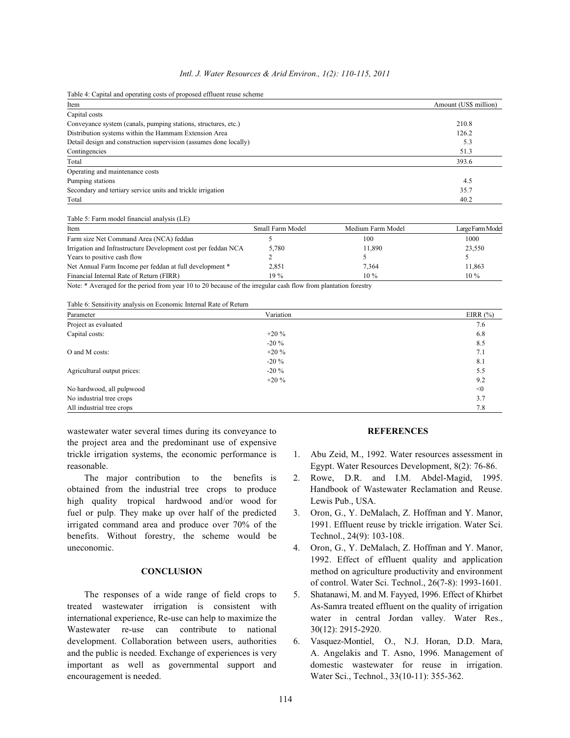|  |  | Intl. J. Water Resources & Arid Environ., 1(2): 110-115, 2011 |  |  |  |
|--|--|---------------------------------------------------------------|--|--|--|
|--|--|---------------------------------------------------------------|--|--|--|

| Item                                                              | Amount (US\$ million) |
|-------------------------------------------------------------------|-----------------------|
| Capital costs                                                     |                       |
| Conveyance system (canals, pumping stations, structures, etc.)    | 210.8                 |
| Distribution systems within the Hammam Extension Area             | 126.2                 |
| Detail design and construction supervision (assumes done locally) | 5.3                   |
| Contingencies                                                     | 51.3                  |
| Total                                                             | 393.6                 |
| Operating and maintenance costs                                   |                       |
| Pumping stations                                                  | 4.5                   |
| Secondary and tertiary service units and trickle irrigation       | 35.7                  |
| Total                                                             | 40.2                  |

Table 5: Farm model financial analysis (LE)

| Item                                                          | Small Farm Model | Medium Farm Model | Large Farm Model |
|---------------------------------------------------------------|------------------|-------------------|------------------|
| Farm size Net Command Area (NCA) feddan                       |                  | 100               | 1000             |
| Irrigation and Infrastructure Development cost per feddan NCA | 5,780            | 11.890            | 23,550           |
| Years to positive cash flow                                   |                  |                   |                  |
| Net Annual Farm Income per feddan at full development *       | 2,851            | 7,364             | 11,863           |
| Financial Internal Rate of Return (FIRR)                      | $19\%$           | $10\%$            | $10\%$           |

Note: \* Averaged for the period from year 10 to 20 because of the irregular cash flow from plantation forestry

Table 6: Sensitivity analysis on Economic Internal Rate of Return

| Parameter                   | Variation | EIRR $(\%)$ |
|-----------------------------|-----------|-------------|
| Project as evaluated        |           | 7.6         |
| Capital costs:              | $+20\%$   | 6.8         |
|                             | $-20\%$   | 8.5         |
| O and M costs:              | $+20\%$   | 7.1         |
|                             | $-20\%$   | 8.1         |
| Agricultural output prices: | $-20\%$   | 5.5         |
|                             | $+20\%$   | 9.2         |
| No hardwood, all pulpwood   |           | < 0         |
| No industrial tree crops    |           | 3.7         |
| All industrial tree crops   |           | 7.8         |

wastewater water several times during its conveyance to **REFERENCES** the project area and the predominant use of expensive trickle irrigation systems, the economic performance is 1. Abu Zeid, M., 1992. Water resources assessment in

obtained from the industrial tree crops to produce Handbook of Wastewater Reclamation and Reuse. high quality tropical hardwood and/or wood for Lewis Pub., USA. fuel or pulp. They make up over half of the predicted 3. Oron, G., Y. DeMalach, Z. Hoffman and Y. Manor, irrigated command area and produce over 70% of the 1991. Effluent reuse by trickle irrigation. Water Sci. benefits. Without forestry, the scheme would be Technol., 24(9): 103-108. uneconomic. 4. Oron, G., Y. DeMalach, Z. Hoffman and Y. Manor,

treated wastewater irrigation is consistent with As-Samra treated effluent on the quality of irrigation international experience, Re-use can help to maximize the water in central Jordan valley. Water Res., Wastewater re-use can contribute to national 30(12): 2915-2920. development. Collaboration between users, authorities 6. Vasquez-Montiel, O., N.J. Horan, D.D. Mara, important as well as governmental support and domestic wastewater for reuse in irrigation. encouragement is needed. Water Sci., Technol., 33(10-11): 355-362.

- reasonable. Egypt. Water Resources Development, 8(2): 76-86.
	- The major contribution to the benefits is 2. Rowe, D.R. and I.M. Abdel-Magid, 1995.
		-
		- **CONCLUSION** method on agriculture productivity and environment 1992. Effect of effluent quality and application of control. Water Sci. Technol., 26(7-8): 1993-1601.
	- The responses of a wide range of field crops to 5. Shatanawi, M. and M. Fayyed, 1996. Effect of Khirbet
- and the public is needed. Exchange of experiences is very A. Angelakis and T. Asno, 1996. Management of